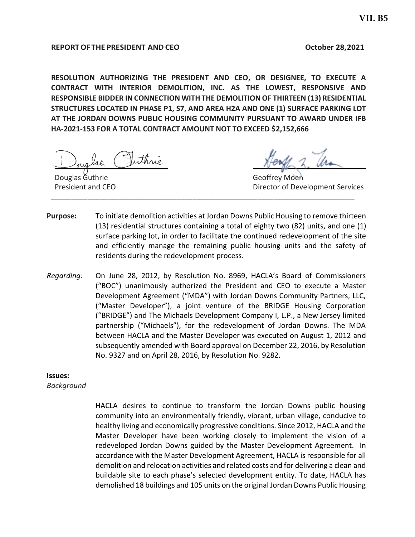#### **REPORTOF THE PRESIDENT AND CEO October 28,2021**

**RESOLUTION AUTHORIZING THE PRESIDENT AND CEO, OR DESIGNEE, TO EXECUTE A CONTRACT WITH INTERIOR DEMOLITION, INC. AS THE LOWEST, RESPONSIVE AND RESPONSIBLE BIDDER IN CONNECTION WITH THE DEMOLITION OF THIRTEEN (13) RESIDENTIAL STRUCTURES LOCATED IN PHASE P1, S7, AND AREA H2A AND ONE (1) SURFACE PARKING LOT AT THE JORDAN DOWNS PUBLIC HOUSING COMMUNITY PURSUANT TO AWARD UNDER IFB HA-2021-153 FOR A TOTAL CONTRACT AMOUNT NOT TO EXCEED \$2,152,666**

\_\_\_\_\_\_\_\_\_\_\_\_\_\_\_\_\_\_\_\_\_\_\_\_\_\_\_\_

Douglas Guthrie President and CEO

 $N$ 

Geoffrey Moen Director of Development Services

**Purpose:** To initiate demolition activities at Jordan Downs Public Housing to remove thirteen (13) residential structures containing a total of eighty two (82) units, and one (1) surface parking lot, in order to facilitate the continued redevelopment of the site and efficiently manage the remaining public housing units and the safety of residents during the redevelopment process.

\_\_\_\_\_\_\_\_\_\_\_\_\_\_\_\_\_\_\_\_\_\_\_\_\_\_\_\_\_\_\_\_\_\_\_\_\_\_\_\_\_\_\_\_\_\_\_\_\_\_\_\_\_\_\_\_\_\_\_\_\_\_\_\_\_\_\_\_\_\_\_\_\_\_\_

*Regarding:* On June 28, 2012, by Resolution No. 8969, HACLA's Board of Commissioners ("BOC") unanimously authorized the President and CEO to execute a Master Development Agreement ("MDA") with Jordan Downs Community Partners, LLC, ("Master Developer"), a joint venture of the BRIDGE Housing Corporation ("BRIDGE") and The Michaels Development Company I, L.P., a New Jersey limited partnership ("Michaels"), for the redevelopment of Jordan Downs. The MDA between HACLA and the Master Developer was executed on August 1, 2012 and subsequently amended with Board approval on December 22, 2016, by Resolution No. 9327 and on April 28, 2016, by Resolution No. 9282.

**Issues:**

*Background*

HACLA desires to continue to transform the Jordan Downs public housing community into an environmentally friendly, vibrant, urban village, conducive to healthy living and economically progressive conditions. Since 2012, HACLA and the Master Developer have been working closely to implement the vision of a redeveloped Jordan Downs guided by the Master Development Agreement. In accordance with the Master Development Agreement, HACLA is responsible for all demolition and relocation activities and related costs and for delivering a clean and buildable site to each phase's selected development entity. To date, HACLA has demolished 18 buildings and 105 units on the original Jordan Downs Public Housing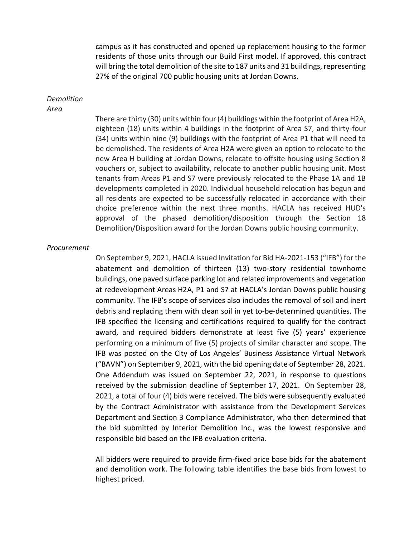campus as it has constructed and opened up replacement housing to the former residents of those units through our Build First model. If approved, this contract will bring the total demolition of the site to 187 units and 31 buildings, representing 27% of the original 700 public housing units at Jordan Downs.

#### *Demolition Area*

There are thirty (30) units within four (4) buildings within the footprint of Area H2A, eighteen (18) units within 4 buildings in the footprint of Area S7, and thirty-four (34) units within nine (9) buildings with the footprint of Area P1 that will need to be demolished. The residents of Area H2A were given an option to relocate to the new Area H building at Jordan Downs, relocate to offsite housing using Section 8 vouchers or, subject to availability, relocate to another public housing unit. Most tenants from Areas P1 and S7 were previously relocated to the Phase 1A and 1B developments completed in 2020. Individual household relocation has begun and all residents are expected to be successfully relocated in accordance with their choice preference within the next three months. HACLA has received HUD's approval of the phased demolition/disposition through the Section 18 Demolition/Disposition award for the Jordan Downs public housing community.

#### *Procurement*

On September 9, 2021, HACLA issued Invitation for Bid HA-2021-153 ("IFB") for the abatement and demolition of thirteen (13) two-story residential townhome buildings, one paved surface parking lot and related improvements and vegetation at redevelopment Areas H2A, P1 and S7 at HACLA's Jordan Downs public housing community. The IFB's scope of services also includes the removal of soil and inert debris and replacing them with clean soil in yet to-be-determined quantities. The IFB specified the licensing and certifications required to qualify for the contract award, and required bidders demonstrate at least five (5) years' experience performing on a minimum of five (5) projects of similar character and scope. The IFB was posted on the City of Los Angeles' Business Assistance Virtual Network ("BAVN") on September 9, 2021, with the bid opening date of September 28, 2021. One Addendum was issued on September 22, 2021, in response to questions received by the submission deadline of September 17, 2021. On September 28, 2021, a total of four (4) bids were received. The bids were subsequently evaluated by the Contract Administrator with assistance from the Development Services Department and Section 3 Compliance Administrator, who then determined that the bid submitted by Interior Demolition Inc., was the lowest responsive and responsible bid based on the IFB evaluation criteria.

All bidders were required to provide firm-fixed price base bids for the abatement and demolition work. The following table identifies the base bids from lowest to highest priced.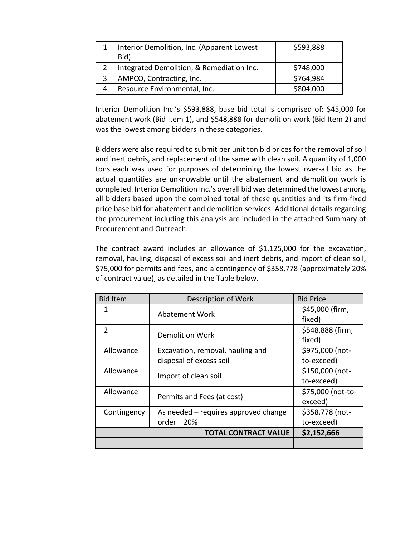| Interior Demolition, Inc. (Apparent Lowest | \$593,888 |
|--------------------------------------------|-----------|
| Bid)                                       |           |
| Integrated Demolition, & Remediation Inc.  | \$748,000 |
| AMPCO, Contracting, Inc.                   | \$764,984 |
| Resource Environmental, Inc.               | \$804,000 |

Interior Demolition Inc.'s \$593,888, base bid total is comprised of: \$45,000 for abatement work (Bid Item 1), and \$548,888 for demolition work (Bid Item 2) and was the lowest among bidders in these categories.

Bidders were also required to submit per unit ton bid prices for the removal of soil and inert debris, and replacement of the same with clean soil. A quantity of 1,000 tons each was used for purposes of determining the lowest over-all bid as the actual quantities are unknowable until the abatement and demolition work is completed. Interior Demolition Inc.'s overall bid was determined the lowest among all bidders based upon the combined total of these quantities and its firm-fixed price base bid for abatement and demolition services. Additional details regarding the procurement including this analysis are included in the attached Summary of Procurement and Outreach.

The contract award includes an allowance of \$1,125,000 for the excavation, removal, hauling, disposal of excess soil and inert debris, and import of clean soil, \$75,000 for permits and fees, and a contingency of \$358,778 (approximately 20% of contract value), as detailed in the Table below.

| <b>Bid Item</b> | Description of Work                  | <b>Bid Price</b>  |
|-----------------|--------------------------------------|-------------------|
| 1               | <b>Abatement Work</b>                | \$45,000 (firm,   |
|                 |                                      | fixed)            |
| $\mathcal{P}$   | <b>Demolition Work</b>               | \$548,888 (firm,  |
|                 |                                      | fixed)            |
| Allowance       | Excavation, removal, hauling and     | \$975,000 (not-   |
|                 | disposal of excess soil              | to-exceed)        |
| Allowance       |                                      | \$150,000 (not-   |
|                 | Import of clean soil                 | to-exceed)        |
| Allowance       | Permits and Fees (at cost)           | \$75,000 (not-to- |
|                 |                                      | exceed)           |
| Contingency     | As needed – requires approved change | \$358,778 (not-   |
|                 | order<br>20%                         | to-exceed)        |
|                 | <b>TOTAL CONTRACT VALUE</b>          | \$2,152,666       |
|                 |                                      |                   |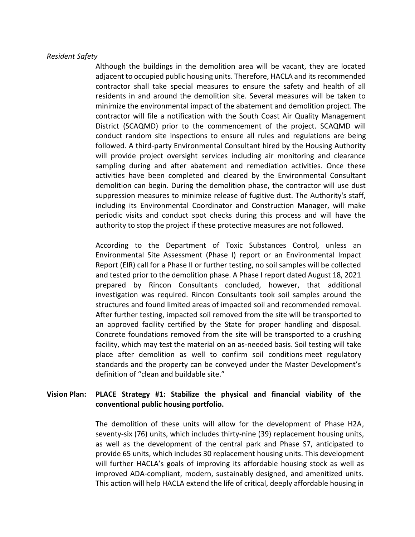#### *Resident Safety*

Although the buildings in the demolition area will be vacant, they are located adjacent to occupied public housing units. Therefore, HACLA and its recommended contractor shall take special measures to ensure the safety and health of all residents in and around the demolition site. Several measures will be taken to minimize the environmental impact of the abatement and demolition project. The contractor will file a notification with the South Coast Air Quality Management District (SCAQMD) prior to the commencement of the project. SCAQMD will conduct random site inspections to ensure all rules and regulations are being followed. A third-party Environmental Consultant hired by the Housing Authority will provide project oversight services including air monitoring and clearance sampling during and after abatement and remediation activities. Once these activities have been completed and cleared by the Environmental Consultant demolition can begin. During the demolition phase, the contractor will use dust suppression measures to minimize release of fugitive dust. The Authority's staff, including its Environmental Coordinator and Construction Manager, will make periodic visits and conduct spot checks during this process and will have the authority to stop the project if these protective measures are not followed.

According to the Department of Toxic Substances Control, unless an Environmental Site Assessment (Phase I) report or an Environmental Impact Report (EIR) call for a Phase II or further testing, no soil samples will be collected and tested prior to the demolition phase. A Phase I report dated August 18, 2021 prepared by Rincon Consultants concluded, however, that additional investigation was required. Rincon Consultants took soil samples around the structures and found limited areas of impacted soil and recommended removal. After further testing, impacted soil removed from the site will be transported to an approved facility certified by the State for proper handling and disposal. Concrete foundations removed from the site will be transported to a crushing facility, which may test the material on an as-needed basis. Soil testing will take place after demolition as well to confirm soil conditions meet regulatory standards and the property can be conveyed under the Master Development's definition of "clean and buildable site."

## **Vision Plan: PLACE Strategy #1: Stabilize the physical and financial viability of the conventional public housing portfolio.**

The demolition of these units will allow for the development of Phase H2A, seventy-six (76) units, which includes thirty-nine (39) replacement housing units, as well as the development of the central park and Phase S7, anticipated to provide 65 units, which includes 30 replacement housing units. This development will further HACLA's goals of improving its affordable housing stock as well as improved ADA-compliant, modern, sustainably designed, and amenitized units. This action will help HACLA extend the life of critical, deeply affordable housing in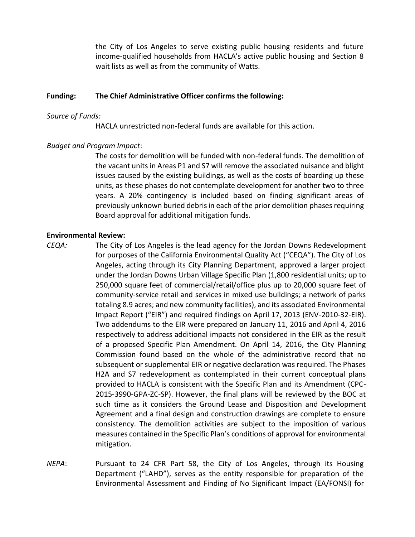the City of Los Angeles to serve existing public housing residents and future income-qualified households from HACLA's active public housing and Section 8 wait lists as well as from the community of Watts.

#### **Funding: The Chief Administrative Officer confirms the following:**

#### *Source of Funds:*

HACLA unrestricted non-federal funds are available for this action.

#### *Budget and Program Impact*:

The costs for demolition will be funded with non-federal funds. The demolition of the vacant units in Areas P1 and S7 will remove the associated nuisance and blight issues caused by the existing buildings, as well as the costs of boarding up these units, as these phases do not contemplate development for another two to three years. A 20% contingency is included based on finding significant areas of previously unknown buried debris in each of the prior demolition phasesrequiring Board approval for additional mitigation funds.

#### **Environmental Review:**

- *CEQA:* The City of Los Angeles is the lead agency for the Jordan Downs Redevelopment for purposes of the California Environmental Quality Act ("CEQA"). The City of Los Angeles, acting through its City Planning Department, approved a larger project under the Jordan Downs Urban Village Specific Plan (1,800 residential units; up to 250,000 square feet of commercial/retail/office plus up to 20,000 square feet of community-service retail and services in mixed use buildings; a network of parks totaling 8.9 acres; and new community facilities), and its associated Environmental Impact Report ("EIR") and required findings on April 17, 2013 (ENV-2010-32-EIR). Two addendums to the EIR were prepared on January 11, 2016 and April 4, 2016 respectively to address additional impacts not considered in the EIR as the result of a proposed Specific Plan Amendment. On April 14, 2016, the City Planning Commission found based on the whole of the administrative record that no subsequent or supplemental EIR or negative declaration was required. The Phases H2A and S7 redevelopment as contemplated in their current conceptual plans provided to HACLA is consistent with the Specific Plan and its Amendment (CPC-2015-3990-GPA-ZC-SP). However, the final plans will be reviewed by the BOC at such time as it considers the Ground Lease and Disposition and Development Agreement and a final design and construction drawings are complete to ensure consistency. The demolition activities are subject to the imposition of various measures contained in the Specific Plan's conditions of approval for environmental mitigation.
- *NEPA*: Pursuant to 24 CFR Part 58, the City of Los Angeles, through its Housing Department ("LAHD"), serves as the entity responsible for preparation of the Environmental Assessment and Finding of No Significant Impact (EA/FONSI) for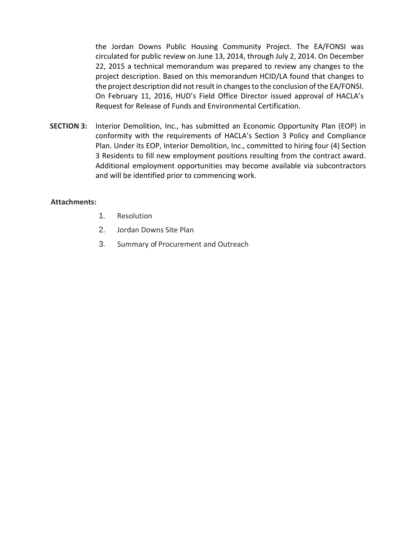the Jordan Downs Public Housing Community Project. The EA/FONSI was circulated for public review on June 13, 2014, through July 2, 2014. On December 22, 2015 a technical memorandum was prepared to review any changes to the project description. Based on this memorandum HCID/LA found that changes to the project description did not result in changes to the conclusion of the EA/FONSI. On February 11, 2016, HUD's Field Office Director issued approval of HACLA's Request for Release of Funds and Environmental Certification.

**SECTION 3:** Interior Demolition, Inc., has submitted an Economic Opportunity Plan (EOP) in conformity with the requirements of HACLA's Section 3 Policy and Compliance Plan. Under its EOP, Interior Demolition, Inc., committed to hiring four (4) Section 3 Residents to fill new employment positions resulting from the contract award. Additional employment opportunities may become available via subcontractors and will be identified prior to commencing work.

#### **Attachments:**

- 1. Resolution
- 2. Jordan Downs Site Plan
- 3. Summary of Procurement and Outreach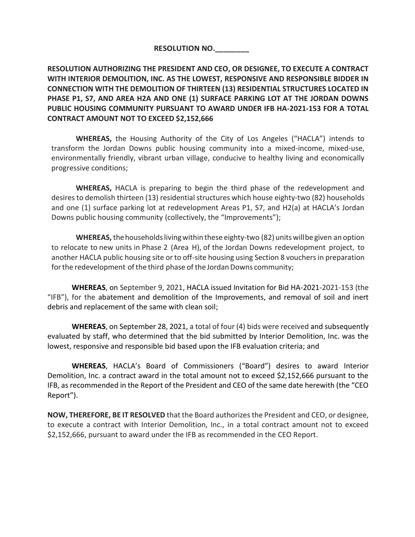## **RESOLUTION NO.\_\_\_\_\_\_\_\_**

**RESOLUTION AUTHORIZING THE PRESIDENT AND CEO, OR DESIGNEE, TO EXECUTE A CONTRACT WITH INTERIOR DEMOLITION, INC. AS THE LOWEST, RESPONSIVE AND RESPONSIBLE BIDDER IN CONNECTION WITH THE DEMOLITION OF THIRTEEN (13) RESIDENTIAL STRUCTURES LOCATED IN PHASE P1, S7, AND AREA H2A AND ONE (1) SURFACE PARKING LOT AT THE JORDAN DOWNS PUBLIC HOUSING COMMUNITY PURSUANT TO AWARD UNDER IFB HA-2021-153 FOR A TOTAL CONTRACT AMOUNT NOT TO EXCEED \$2,152,666**

**WHEREAS,** the Housing Authority of the City of Los Angeles ("HACLA") intends to transform the Jordan Downs public housing community into a mixed-income, mixed-use, environmentally friendly, vibrant urban village, conducive to healthy living and economically progressive conditions;

**WHEREAS,** HACLA is preparing to begin the third phase of the redevelopment and desires to demolish thirteen (13) residential structures which house eighty-two (82) households and one (1) surface parking lot at redevelopment Areas P1, S7, and H2(a) at HACLA's Jordan Downs public housing community (collectively, the "Improvements");

**WHEREAS,** thehouseholdslivingwithin these eighty-two (82) unitswillbegiven an option to relocate to new units in Phase 2 (Area H), of the Jordan Downs redevelopment project, to another HACLA public housing site or to off-site housing using Section 8 vouchers in preparation for the redevelopment of the third phase of the Jordan Downs community;

**WHEREAS**, on September 9, 2021, HACLA issued Invitation for Bid HA-2021-2021-153 (the "IFB"), for the abatement and demolition of the Improvements, and removal of soil and inert debris and replacement of the same with clean soil;

**WHEREAS**, on September 28, 2021, a total of four (4) bids were received and subsequently evaluated by staff, who determined that the bid submitted by Interior Demolition, Inc. was the lowest, responsive and responsible bid based upon the IFB evaluation criteria; and

**WHEREAS**, HACLA's Board of Commissioners ("Board") desires to award Interior Demolition, Inc. a contract award in the total amount not to exceed \$2,152,666 pursuant to the IFB, as recommended in the Report of the President and CEO of the same date herewith (the "CEO Report").

**NOW, THEREFORE, BE IT RESOLVED** that the Board authorizes the President and CEO, or designee, to execute a contract with Interior Demolition, Inc., in a total contract amount not to exceed \$2,152,666, pursuant to award under the IFB as recommended in the CEO Report.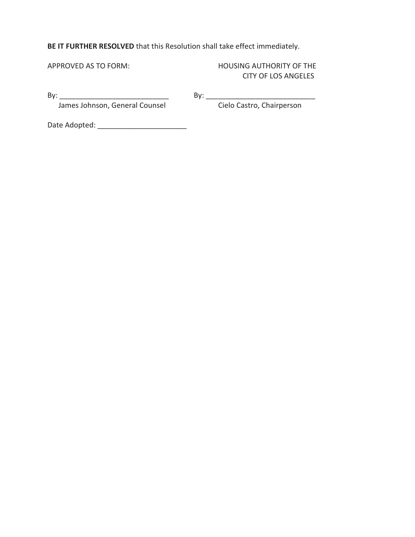# **BE IT FURTHER RESOLVED** that this Resolution shall take effect immediately.

APPROVED AS TO FORM: HOUSING AUTHORITY OF THE CITY OF LOS ANGELES

James Johnson, General Counsel

By: \_\_\_\_\_\_\_\_\_\_\_\_\_\_\_\_\_\_\_\_\_\_\_\_\_\_\_ By: \_\_\_\_\_\_\_\_\_\_\_\_\_\_\_\_\_\_\_\_\_\_\_\_\_\_\_

Date Adopted: \_\_\_\_\_\_\_\_\_\_\_\_\_\_\_\_\_\_\_\_\_\_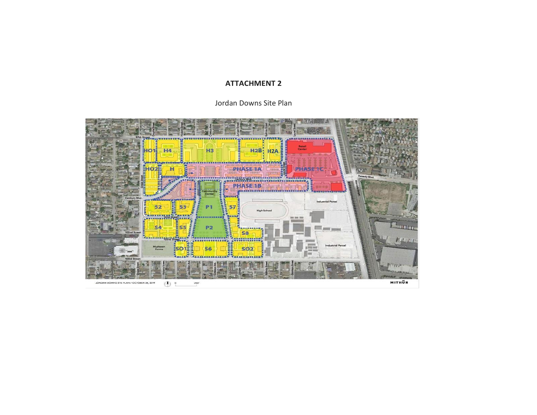### **ATTACHMENT 2**

Jordan Downs Site Plan

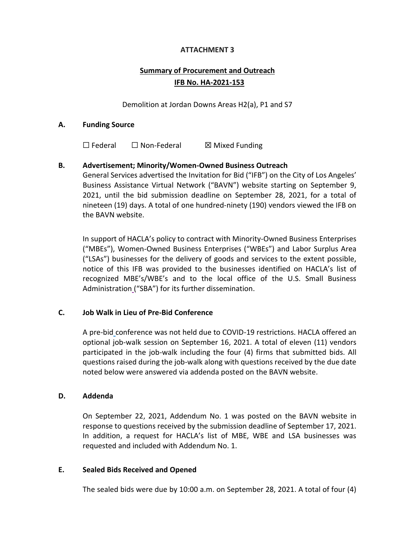## **ATTACHMENT 3**

# **Summary of Procurement and Outreach IFB No. HA-2021-153**

Demolition at Jordan Downs Areas H2(a), P1 and S7

#### **A. Funding Source**

☐ Federal ☐ Non-Federal ☒ Mixed Funding

## **B. Advertisement; Minority/Women-Owned Business Outreach**

General Services advertised the Invitation for Bid ("IFB") on the City of Los Angeles' Business Assistance Virtual Network ("BAVN") website starting on September 9, 2021, until the bid submission deadline on September 28, 2021, for a total of nineteen (19) days. A total of one hundred-ninety (190) vendors viewed the IFB on the BAVN website.

In support of HACLA's policy to contract with Minority-Owned Business Enterprises ("MBEs"), Women-Owned Business Enterprises ("WBEs") and Labor Surplus Area ("LSAs") businesses for the delivery of goods and services to the extent possible, notice of this IFB was provided to the businesses identified on HACLA's list of recognized MBE's/WBE's and to the local office of the U.S. Small Business Administration ("SBA") for its further dissemination.

#### **C. Job Walk in Lieu of Pre-Bid Conference**

A pre-bid conference was not held due to COVID-19 restrictions. HACLA offered an optional job-walk session on September 16, 2021. A total of eleven (11) vendors participated in the job-walk including the four (4) firms that submitted bids. All questions raised during the job-walk along with questions received by the due date noted below were answered via addenda posted on the BAVN website.

#### **D. Addenda**

On September 22, 2021, Addendum No. 1 was posted on the BAVN website in response to questions received by the submission deadline of September 17, 2021. In addition, a request for HACLA's list of MBE, WBE and LSA businesses was requested and included with Addendum No. 1.

#### **E. Sealed Bids Received and Opened**

The sealed bids were due by 10:00 a.m. on September 28, 2021. A total of four (4)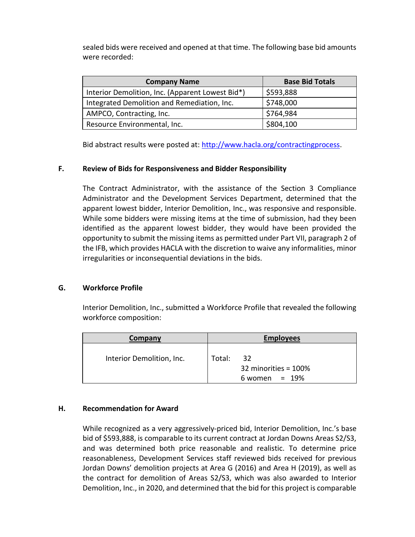sealed bids were received and opened at that time. The following base bid amounts were recorded:

| <b>Company Name</b>                              | <b>Base Bid Totals</b> |
|--------------------------------------------------|------------------------|
| Interior Demolition, Inc. (Apparent Lowest Bid*) | \$593,888              |
| Integrated Demolition and Remediation, Inc.      | \$748,000              |
| AMPCO, Contracting, Inc.                         | \$764,984              |
| Resource Environmental, Inc.                     | \$804,100              |

Bid abstract results were posted at: [http://www.hacla.org/contractingprocess.](http://www.hacla.org/contractingprocess)

## **F. Review of Bids for Responsiveness and Bidder Responsibility**

The Contract Administrator, with the assistance of the Section 3 Compliance Administrator and the Development Services Department, determined that the apparent lowest bidder, Interior Demolition, Inc., was responsive and responsible. While some bidders were missing items at the time of submission, had they been identified as the apparent lowest bidder, they would have been provided the opportunity to submit the missing items as permitted under Part VII, paragraph 2 of the IFB, which provides HACLA with the discretion to waive any informalities, minor irregularities or inconsequential deviations in the bids.

#### **G. Workforce Profile**

Interior Demolition, Inc., submitted a Workforce Profile that revealed the following workforce composition:

| Company                   | <b>Employees</b>                                        |  |
|---------------------------|---------------------------------------------------------|--|
| Interior Demolition, Inc. | 32<br>Total:<br>32 minorities = 100%<br>6 women = $19%$ |  |

## **H. Recommendation for Award**

While recognized as a very aggressively-priced bid, Interior Demolition, Inc.'s base bid of \$593,888, is comparable to its current contract at Jordan Downs Areas S2/S3, and was determined both price reasonable and realistic. To determine price reasonableness, Development Services staff reviewed bids received for previous Jordan Downs' demolition projects at Area G (2016) and Area H (2019), as well as the contract for demolition of Areas S2/S3, which was also awarded to Interior Demolition, Inc., in 2020, and determined that the bid for this project is comparable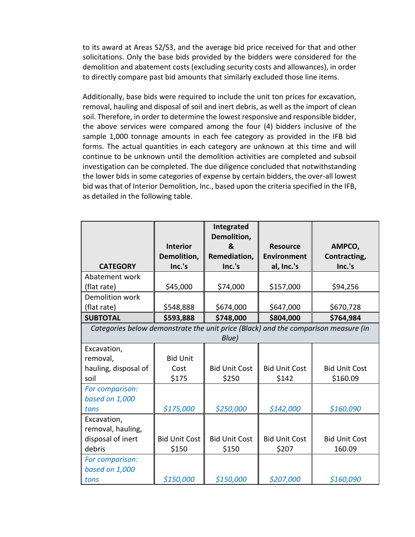to its award at Areas S2/S3, and the average bid price received for that and other solicitations. Only the base bids provided by the bidders were considered for the demolition and abatement costs (excluding security costs and allowances), in order to directly compare past bid amounts that similarly excluded those line items.

Additionally, base bids were required to include the unit ton prices for excavation, removal, hauling and disposal of soil and inert debris, as well as the import of clean soil. Therefore, in order to determine the lowest responsive and responsible bidder, the above services were compared among the four (4) bidders inclusive of the sample 1,000 tonnage amounts in each fee category as provided in the IFB bid forms. The actual quantities in each category are unknown at this time and will continue to be unknown until the demolition activities are completed and subsoil investigation can be completed. The due diligence concluded that notwithstanding the lower bids in some categories of expense by certain bidders, the over-all lowest bid was that of Interior Demolition, Inc., based upon the criteria specified in the IFB, as detailed in the following table.

| <b>CATEGORY</b>                                       | <b>Interior</b><br>Demolition,<br>Inc.'s                                                    | Integrated<br>Demolition,<br>&<br>Remediation,<br>Inc.'s | <b>Resource</b><br><b>Environment</b><br>al, Inc.'s | AMPCO,<br>Contracting,<br>Inc.'s |
|-------------------------------------------------------|---------------------------------------------------------------------------------------------|----------------------------------------------------------|-----------------------------------------------------|----------------------------------|
| Abatement work                                        |                                                                                             |                                                          |                                                     |                                  |
| (flat rate)                                           | \$45,000                                                                                    | \$74,000                                                 | \$157,000                                           | \$94,256                         |
| Demolition work                                       |                                                                                             |                                                          |                                                     |                                  |
| (flat rate)                                           | \$548,888                                                                                   | \$674,000                                                | \$647,000                                           | \$670,728                        |
| <b>SUBTOTAL</b>                                       | \$593,888                                                                                   | \$748,000                                                | \$804,000                                           | \$764,984                        |
|                                                       | Categories below demonstrate the unit price (Black) and the comparison measure (in<br>Blue) |                                                          |                                                     |                                  |
| Excavation,                                           |                                                                                             |                                                          |                                                     |                                  |
| removal,                                              | <b>Bid Unit</b>                                                                             |                                                          |                                                     |                                  |
| hauling, disposal of                                  | Cost                                                                                        | <b>Bid Unit Cost</b>                                     | <b>Bid Unit Cost</b>                                | <b>Bid Unit Cost</b>             |
| soil                                                  | \$175                                                                                       | \$250                                                    | \$142                                               | \$160.09                         |
| For comparison:<br>based on 1,000<br>tons             | \$175,000                                                                                   | \$250,000                                                | \$142,000                                           | \$160,090                        |
| Excavation,<br>removal, hauling,<br>disposal of inert | <b>Bid Unit Cost</b>                                                                        | <b>Bid Unit Cost</b>                                     | <b>Bid Unit Cost</b>                                | <b>Bid Unit Cost</b>             |
| debris                                                | \$150                                                                                       | \$150                                                    | \$207                                               | 160.09                           |
| For comparison:<br>based on 1,000<br>tons             | \$150,000                                                                                   | \$150,000                                                | \$207,000                                           | \$160,090                        |
|                                                       |                                                                                             |                                                          |                                                     |                                  |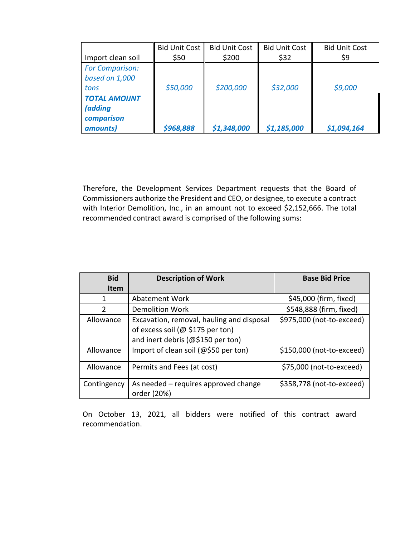| Import clean soil                                                | <b>Bid Unit Cost</b><br>\$50 | <b>Bid Unit Cost</b><br>\$200 | <b>Bid Unit Cost</b><br>\$32 | <b>Bid Unit Cost</b><br>\$9 |
|------------------------------------------------------------------|------------------------------|-------------------------------|------------------------------|-----------------------------|
| <b>For Comparison:</b><br>based on 1,000<br>tons                 | \$50,000                     | \$200,000                     | \$32,000                     | \$9,000                     |
| <b>TOTAL AMOIJNT</b><br><i>(adding</i><br>comparison<br>amounts) | \$968,888                    | \$1,348,000                   | \$1,185,000                  | \$1,094,164                 |

Therefore, the Development Services Department requests that the Board of Commissioners authorize the President and CEO, or designee, to execute a contract with Interior Demolition, Inc., in an amount not to exceed \$2,152,666. The total recommended contract award is comprised of the following sums:

| <b>Bid</b>     | <b>Description of Work</b>                          | <b>Base Bid Price</b>     |
|----------------|-----------------------------------------------------|---------------------------|
| <b>Item</b>    |                                                     |                           |
| 1              | Abatement Work                                      | \$45,000 (firm, fixed)    |
| $\overline{2}$ | <b>Demolition Work</b>                              | \$548,888 (firm, fixed)   |
| Allowance      | Excavation, removal, hauling and disposal           | \$975,000 (not-to-exceed) |
|                | of excess soil (@ \$175 per ton)                    |                           |
|                | and inert debris (@\$150 per ton)                   |                           |
| Allowance      | Import of clean soil (@\$50 per ton)                | \$150,000 (not-to-exceed) |
| Allowance      | Permits and Fees (at cost)                          | \$75,000 (not-to-exceed)  |
| Contingency    | As needed – requires approved change<br>order (20%) | \$358,778 (not-to-exceed) |

On October 13, 2021, all bidders were notified of this contract award recommendation.